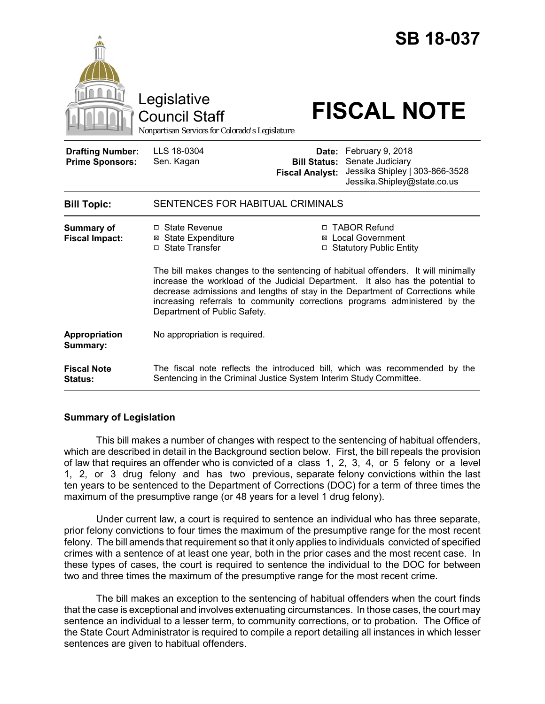|                                                   | Legislative<br><b>Council Staff</b><br>Nonpartisan Services for Colorado's Legislature                                                                                                                                                                                                                                                                                                                                                                                                                             |                                                        | <b>SB 18-037</b><br><b>FISCAL NOTE</b>                                                                |
|---------------------------------------------------|--------------------------------------------------------------------------------------------------------------------------------------------------------------------------------------------------------------------------------------------------------------------------------------------------------------------------------------------------------------------------------------------------------------------------------------------------------------------------------------------------------------------|--------------------------------------------------------|-------------------------------------------------------------------------------------------------------|
| <b>Drafting Number:</b><br><b>Prime Sponsors:</b> | LLS 18-0304<br>Sen. Kagan                                                                                                                                                                                                                                                                                                                                                                                                                                                                                          | Date:<br><b>Bill Status:</b><br><b>Fiscal Analyst:</b> | February 9, 2018<br>Senate Judiciary<br>Jessika Shipley   303-866-3528<br>Jessika.Shipley@state.co.us |
| <b>Bill Topic:</b>                                | SENTENCES FOR HABITUAL CRIMINALS                                                                                                                                                                                                                                                                                                                                                                                                                                                                                   |                                                        |                                                                                                       |
| <b>Summary of</b><br><b>Fiscal Impact:</b>        | $\Box$ State Revenue<br>□ TABOR Refund<br>⊠ Local Government<br><b>⊠</b> State Expenditure<br>□ State Transfer<br>□ Statutory Public Entity<br>The bill makes changes to the sentencing of habitual offenders. It will minimally<br>increase the workload of the Judicial Department. It also has the potential to<br>decrease admissions and lengths of stay in the Department of Corrections while<br>increasing referrals to community corrections programs administered by the<br>Department of Public Safety. |                                                        |                                                                                                       |
| Appropriation<br>Summary:                         | No appropriation is required.                                                                                                                                                                                                                                                                                                                                                                                                                                                                                      |                                                        |                                                                                                       |
| <b>Fiscal Note</b><br>Status:                     | The fiscal note reflects the introduced bill, which was recommended by the<br>Sentencing in the Criminal Justice System Interim Study Committee.                                                                                                                                                                                                                                                                                                                                                                   |                                                        |                                                                                                       |

## **Summary of Legislation**

This bill makes a number of changes with respect to the sentencing of habitual offenders, which are described in detail in the Background section below. First, the bill repeals the provision of law that requires an offender who is convicted of a class 1, 2, 3, 4, or 5 felony or a level 1, 2, or 3 drug felony and has two previous, separate felony convictions within the last ten years to be sentenced to the Department of Corrections (DOC) for a term of three times the maximum of the presumptive range (or 48 years for a level 1 drug felony).

Under current law, a court is required to sentence an individual who has three separate, prior felony convictions to four times the maximum of the presumptive range for the most recent felony. The bill amends that requirement so that it only applies to individuals convicted of specified crimes with a sentence of at least one year, both in the prior cases and the most recent case. In these types of cases, the court is required to sentence the individual to the DOC for between two and three times the maximum of the presumptive range for the most recent crime.

The bill makes an exception to the sentencing of habitual offenders when the court finds that the case is exceptional and involves extenuating circumstances. In those cases, the court may sentence an individual to a lesser term, to community corrections, or to probation. The Office of the State Court Administrator is required to compile a report detailing all instances in which lesser sentences are given to habitual offenders.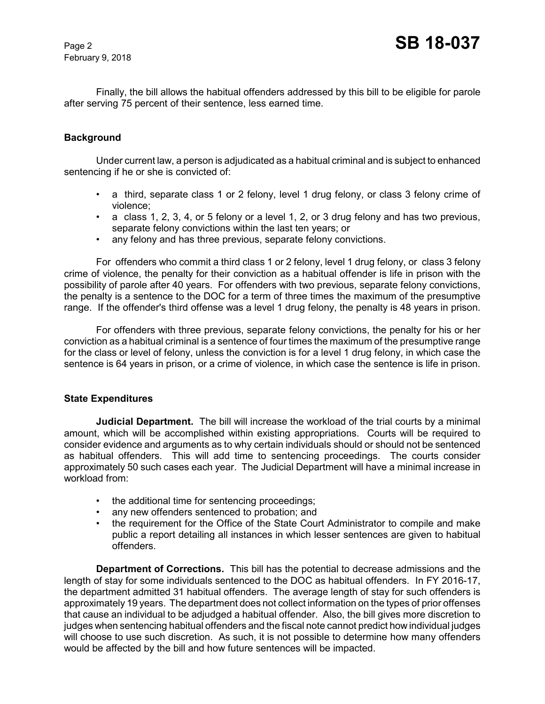February 9, 2018

Finally, the bill allows the habitual offenders addressed by this bill to be eligible for parole after serving 75 percent of their sentence, less earned time.

## **Background**

Under current law, a person is adjudicated as a habitual criminal and is subject to enhanced sentencing if he or she is convicted of:

- a third, separate class 1 or 2 felony, level 1 drug felony, or class 3 felony crime of violence;
- a class 1, 2, 3, 4, or 5 felony or a level 1, 2, or 3 drug felony and has two previous, separate felony convictions within the last ten years; or
- any felony and has three previous, separate felony convictions.

For offenders who commit a third class 1 or 2 felony, level 1 drug felony, or class 3 felony crime of violence, the penalty for their conviction as a habitual offender is life in prison with the possibility of parole after 40 years. For offenders with two previous, separate felony convictions, the penalty is a sentence to the DOC for a term of three times the maximum of the presumptive range. If the offender's third offense was a level 1 drug felony, the penalty is 48 years in prison.

For offenders with three previous, separate felony convictions, the penalty for his or her conviction as a habitual criminal is a sentence of four times the maximum of the presumptive range for the class or level of felony, unless the conviction is for a level 1 drug felony, in which case the sentence is 64 years in prison, or a crime of violence, in which case the sentence is life in prison.

## **State Expenditures**

**Judicial Department.** The bill will increase the workload of the trial courts by a minimal amount, which will be accomplished within existing appropriations. Courts will be required to consider evidence and arguments as to why certain individuals should or should not be sentenced as habitual offenders. This will add time to sentencing proceedings. The courts consider approximately 50 such cases each year. The Judicial Department will have a minimal increase in workload from:

- the additional time for sentencing proceedings;
- any new offenders sentenced to probation; and
- the requirement for the Office of the State Court Administrator to compile and make public a report detailing all instances in which lesser sentences are given to habitual offenders.

**Department of Corrections.** This bill has the potential to decrease admissions and the length of stay for some individuals sentenced to the DOC as habitual offenders. In FY 2016-17, the department admitted 31 habitual offenders. The average length of stay for such offenders is approximately 19 years. The department does not collect information on the types of prior offenses that cause an individual to be adjudged a habitual offender. Also, the bill gives more discretion to judges when sentencing habitual offenders and the fiscal note cannot predict how individual judges will choose to use such discretion. As such, it is not possible to determine how many offenders would be affected by the bill and how future sentences will be impacted.